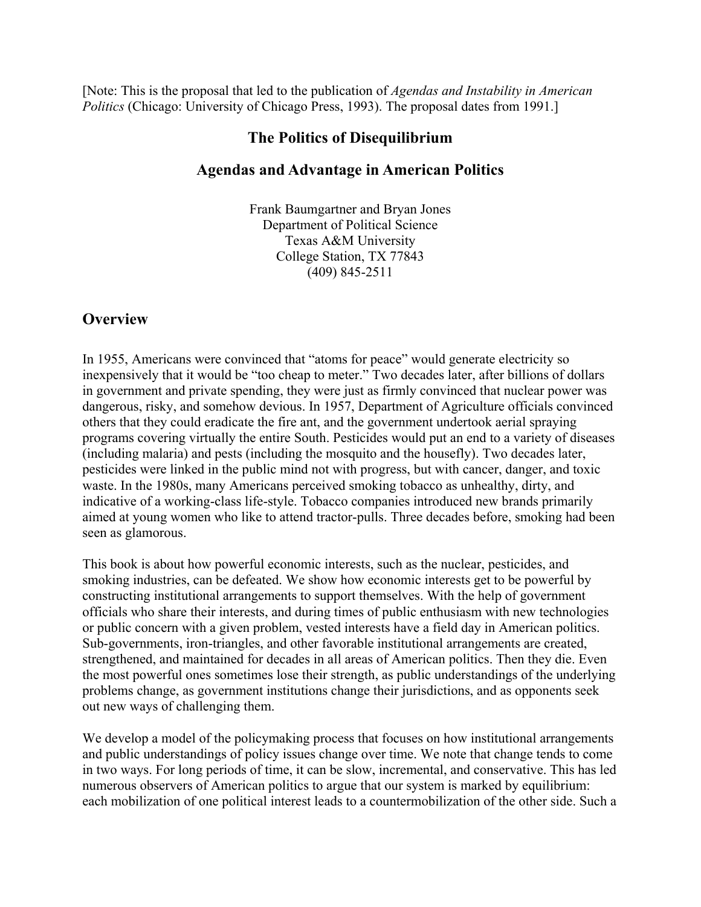[Note: This is the proposal that led to the publication of *Agendas and Instability in American Politics* (Chicago: University of Chicago Press, 1993). The proposal dates from 1991.]

# **The Politics of Disequilibrium**

# **Agendas and Advantage in American Politics**

Frank Baumgartner and Bryan Jones Department of Political Science Texas A&M University College Station, TX 77843 (409) 845-2511

# **Overview**

In 1955, Americans were convinced that "atoms for peace" would generate electricity so inexpensively that it would be "too cheap to meter." Two decades later, after billions of dollars in government and private spending, they were just as firmly convinced that nuclear power was dangerous, risky, and somehow devious. In 1957, Department of Agriculture officials convinced others that they could eradicate the fire ant, and the government undertook aerial spraying programs covering virtually the entire South. Pesticides would put an end to a variety of diseases (including malaria) and pests (including the mosquito and the housefly). Two decades later, pesticides were linked in the public mind not with progress, but with cancer, danger, and toxic waste. In the 1980s, many Americans perceived smoking tobacco as unhealthy, dirty, and indicative of a working-class life-style. Tobacco companies introduced new brands primarily aimed at young women who like to attend tractor-pulls. Three decades before, smoking had been seen as glamorous.

This book is about how powerful economic interests, such as the nuclear, pesticides, and smoking industries, can be defeated. We show how economic interests get to be powerful by constructing institutional arrangements to support themselves. With the help of government officials who share their interests, and during times of public enthusiasm with new technologies or public concern with a given problem, vested interests have a field day in American politics. Sub-governments, iron-triangles, and other favorable institutional arrangements are created, strengthened, and maintained for decades in all areas of American politics. Then they die. Even the most powerful ones sometimes lose their strength, as public understandings of the underlying problems change, as government institutions change their jurisdictions, and as opponents seek out new ways of challenging them.

We develop a model of the policymaking process that focuses on how institutional arrangements and public understandings of policy issues change over time. We note that change tends to come in two ways. For long periods of time, it can be slow, incremental, and conservative. This has led numerous observers of American politics to argue that our system is marked by equilibrium: each mobilization of one political interest leads to a countermobilization of the other side. Such a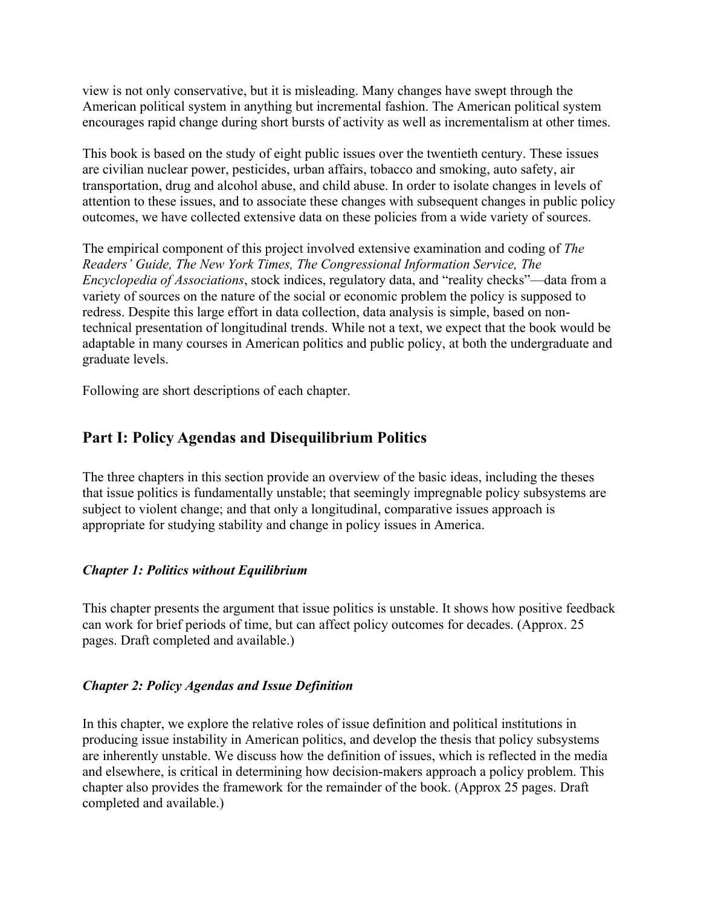view is not only conservative, but it is misleading. Many changes have swept through the American political system in anything but incremental fashion. The American political system encourages rapid change during short bursts of activity as well as incrementalism at other times.

This book is based on the study of eight public issues over the twentieth century. These issues are civilian nuclear power, pesticides, urban affairs, tobacco and smoking, auto safety, air transportation, drug and alcohol abuse, and child abuse. In order to isolate changes in levels of attention to these issues, and to associate these changes with subsequent changes in public policy outcomes, we have collected extensive data on these policies from a wide variety of sources.

The empirical component of this project involved extensive examination and coding of *The Readers' Guide, The New York Times, The Congressional Information Service, The Encyclopedia of Associations*, stock indices, regulatory data, and "reality checks"—data from a variety of sources on the nature of the social or economic problem the policy is supposed to redress. Despite this large effort in data collection, data analysis is simple, based on nontechnical presentation of longitudinal trends. While not a text, we expect that the book would be adaptable in many courses in American politics and public policy, at both the undergraduate and graduate levels.

Following are short descriptions of each chapter.

# **Part I: Policy Agendas and Disequilibrium Politics**

The three chapters in this section provide an overview of the basic ideas, including the theses that issue politics is fundamentally unstable; that seemingly impregnable policy subsystems are subject to violent change; and that only a longitudinal, comparative issues approach is appropriate for studying stability and change in policy issues in America.

### *Chapter 1: Politics without Equilibrium*

This chapter presents the argument that issue politics is unstable. It shows how positive feedback can work for brief periods of time, but can affect policy outcomes for decades. (Approx. 25 pages. Draft completed and available.)

#### *Chapter 2: Policy Agendas and Issue Definition*

In this chapter, we explore the relative roles of issue definition and political institutions in producing issue instability in American politics, and develop the thesis that policy subsystems are inherently unstable. We discuss how the definition of issues, which is reflected in the media and elsewhere, is critical in determining how decision-makers approach a policy problem. This chapter also provides the framework for the remainder of the book. (Approx 25 pages. Draft completed and available.)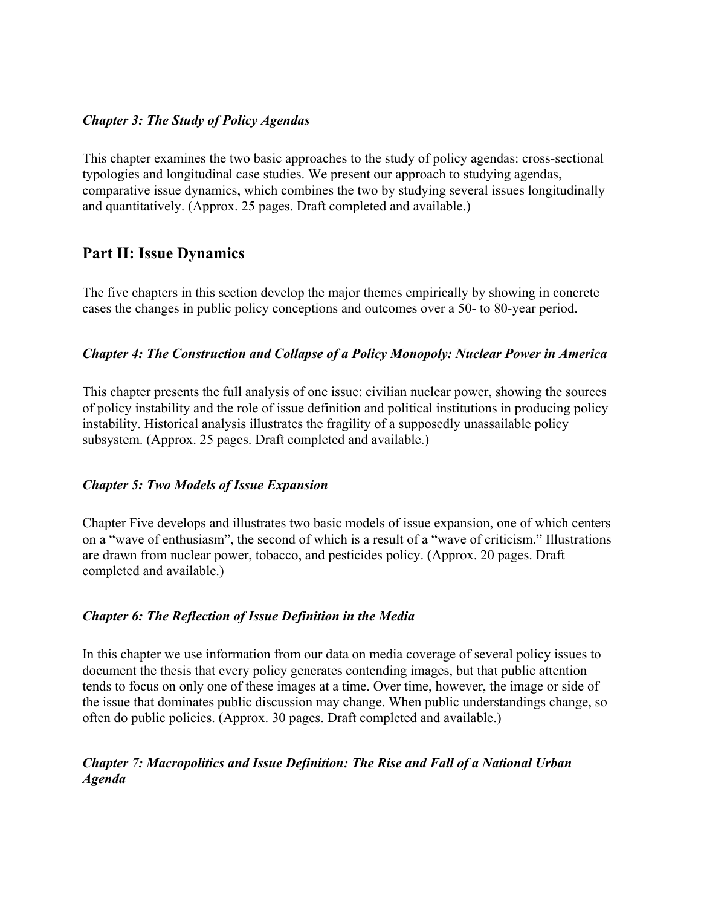#### *Chapter 3: The Study of Policy Agendas*

This chapter examines the two basic approaches to the study of policy agendas: cross-sectional typologies and longitudinal case studies. We present our approach to studying agendas, comparative issue dynamics, which combines the two by studying several issues longitudinally and quantitatively. (Approx. 25 pages. Draft completed and available.)

## **Part II: Issue Dynamics**

The five chapters in this section develop the major themes empirically by showing in concrete cases the changes in public policy conceptions and outcomes over a 50- to 80-year period.

### *Chapter 4: The Construction and Collapse of a Policy Monopoly: Nuclear Power in America*

This chapter presents the full analysis of one issue: civilian nuclear power, showing the sources of policy instability and the role of issue definition and political institutions in producing policy instability. Historical analysis illustrates the fragility of a supposedly unassailable policy subsystem. (Approx. 25 pages. Draft completed and available.)

### *Chapter 5: Two Models of Issue Expansion*

Chapter Five develops and illustrates two basic models of issue expansion, one of which centers on a "wave of enthusiasm", the second of which is a result of a "wave of criticism." Illustrations are drawn from nuclear power, tobacco, and pesticides policy. (Approx. 20 pages. Draft completed and available.)

### *Chapter 6: The Reflection of Issue Definition in the Media*

In this chapter we use information from our data on media coverage of several policy issues to document the thesis that every policy generates contending images, but that public attention tends to focus on only one of these images at a time. Over time, however, the image or side of the issue that dominates public discussion may change. When public understandings change, so often do public policies. (Approx. 30 pages. Draft completed and available.)

### *Chapter 7: Macropolitics and Issue Definition: The Rise and Fall of a National Urban Agenda*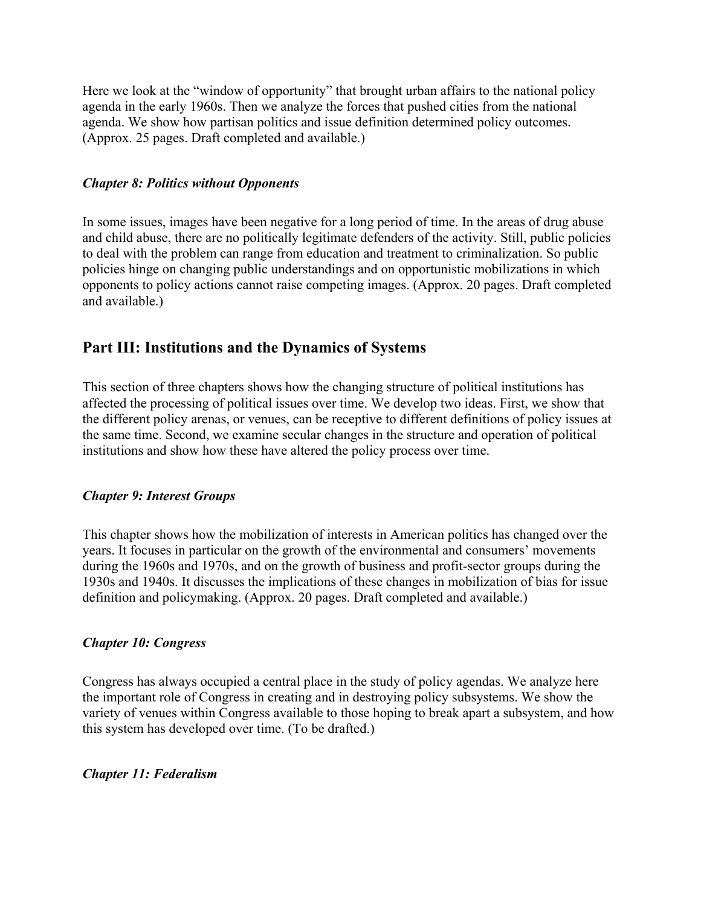Here we look at the "window of opportunity" that brought urban affairs to the national policy agenda in the early 1960s. Then we analyze the forces that pushed cities from the national agenda. We show how partisan politics and issue definition determined policy outcomes. (Approx. 25 pages. Draft completed and available.)

#### *Chapter 8: Politics without Opponents*

In some issues, images have been negative for a long period of time. In the areas of drug abuse and child abuse, there are no politically legitimate defenders of the activity. Still, public policies to deal with the problem can range from education and treatment to criminalization. So public policies hinge on changing public understandings and on opportunistic mobilizations in which opponents to policy actions cannot raise competing images. (Approx. 20 pages. Draft completed and available.)

## **Part III: Institutions and the Dynamics of Systems**

This section of three chapters shows how the changing structure of political institutions has affected the processing of political issues over time. We develop two ideas. First, we show that the different policy arenas, or venues, can be receptive to different definitions of policy issues at the same time. Second, we examine secular changes in the structure and operation of political institutions and show how these have altered the policy process over time.

#### *Chapter 9: Interest Groups*

This chapter shows how the mobilization of interests in American politics has changed over the years. It focuses in particular on the growth of the environmental and consumers' movements during the 1960s and 1970s, and on the growth of business and profit-sector groups during the 1930s and 1940s. It discusses the implications of these changes in mobilization of bias for issue definition and policymaking. (Approx. 20 pages. Draft completed and available.)

### *Chapter 10: Congress*

Congress has always occupied a central place in the study of policy agendas. We analyze here the important role of Congress in creating and in destroying policy subsystems. We show the variety of venues within Congress available to those hoping to break apart a subsystem, and how this system has developed over time. (To be drafted.)

#### *Chapter 11: Federalism*